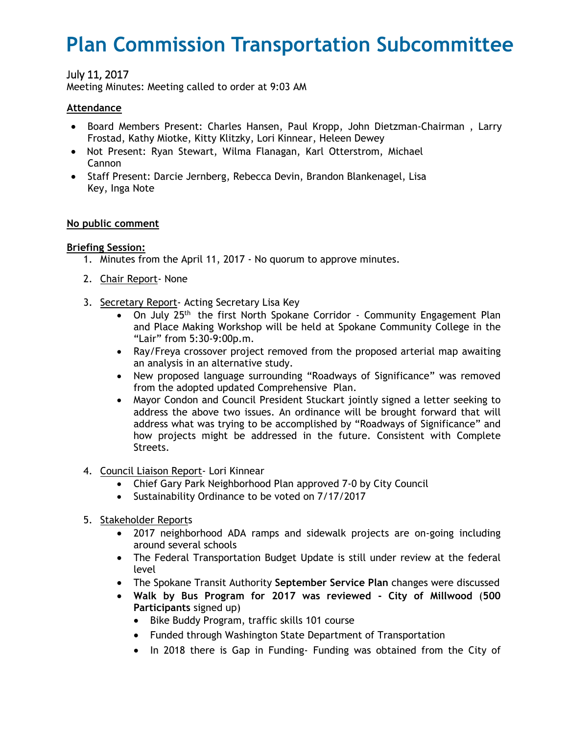# **Plan Commission Transportation Subcommittee**

## July 11, 2017

Meeting Minutes: Meeting called to order at 9:03 AM

#### **Attendance**

- Board Members Present: Charles Hansen, Paul Kropp, John Dietzman-Chairman , Larry Frostad, Kathy Miotke, Kitty Klitzky, Lori Kinnear, Heleen Dewey
- Not Present: Ryan Stewart, Wilma Flanagan, Karl Otterstrom, Michael Cannon
- Staff Present: Darcie Jernberg, Rebecca Devin, Brandon Blankenagel, Lisa Key, Inga Note

#### **No public comment**

#### **Briefing Session:**

- 1. Minutes from the April 11, 2017 No quorum to approve minutes.
- 2. Chair Report- None
- 3. Secretary Report- Acting Secretary Lisa Key
	- On July 25<sup>th</sup> the first North Spokane Corridor Community Engagement Plan and Place Making Workshop will be held at Spokane Community College in the "Lair" from 5:30-9:00p.m.
	- Ray/Freya crossover project removed from the proposed arterial map awaiting an analysis in an alternative study.
	- New proposed language surrounding "Roadways of Significance" was removed from the adopted updated Comprehensive Plan.
	- Mayor Condon and Council President Stuckart jointly signed a letter seeking to address the above two issues. An ordinance will be brought forward that will address what was trying to be accomplished by "Roadways of Significance" and how projects might be addressed in the future. Consistent with Complete Streets.
- 4. Council Liaison Report- Lori Kinnear
	- Chief Gary Park Neighborhood Plan approved 7-0 by City Council
	- Sustainability Ordinance to be voted on 7/17/2017
- 5. Stakeholder Reports
	- 2017 neighborhood ADA ramps and sidewalk projects are on-going including around several schools
	- The Federal Transportation Budget Update is still under review at the federal level
	- The Spokane Transit Authority **September Service Plan** changes were discussed
	- **Walk by Bus Program for 2017 was reviewed City of Millwood** (**500 Participants** signed up)
		- Bike Buddy Program, traffic skills 101 course
		- Funded through Washington State Department of Transportation
		- In 2018 there is Gap in Funding- Funding was obtained from the City of